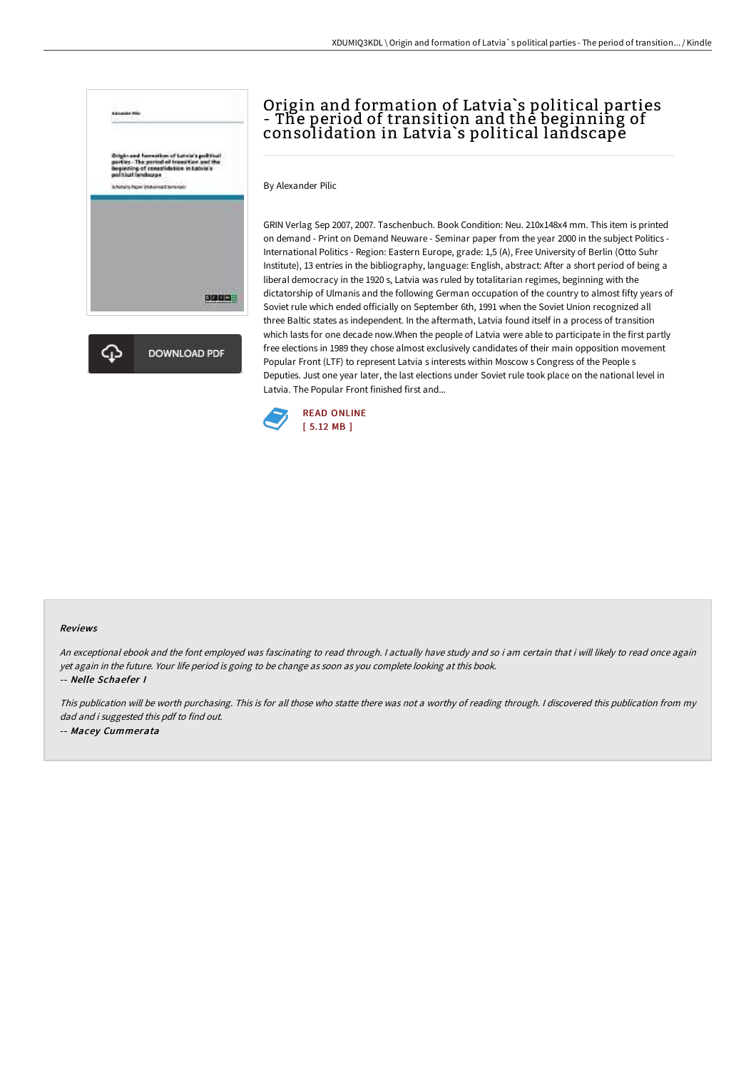

# Origin and formation of Latvia`s political parties - The period of transition and the beginning of consolidation in Latvia`s political landscape

By Alexander Pilic

GRIN Verlag Sep 2007, 2007. Taschenbuch. Book Condition: Neu. 210x148x4 mm. This item is printed on demand - Print on Demand Neuware - Seminar paper from the year 2000 in the subject Politics - International Politics - Region: Eastern Europe, grade: 1,5 (A), Free University of Berlin (Otto Suhr Institute), 13 entries in the bibliography, language: English, abstract: After a short period of being a liberal democracy in the 1920 s, Latvia was ruled by totalitarian regimes, beginning with the dictatorship of Ulmanis and the following German occupation of the country to almost fifty years of Soviet rule which ended officially on September 6th, 1991 when the Soviet Union recognized all three Baltic states as independent. In the aftermath, Latvia found itself in a process of transition which lasts for one decade now.When the people of Latvia were able to participate in the first partly free elections in 1989 they chose almost exclusively candidates of their main opposition movement Popular Front (LTF) to represent Latvia s interests within Moscow s Congress of the People s Deputies. Just one year later, the last elections under Soviet rule took place on the national level in Latvia. The Popular Front finished first and...



#### Reviews

An exceptional ebook and the font employed was fascinating to read through. <sup>I</sup> actually have study and so i am certain that i will likely to read once again yet again in the future. Your life period is going to be change as soon as you complete looking at this book. -- Nelle Schaefer I

This publication will be worth purchasing. This is for all those who statte there was not <sup>a</sup> worthy of reading through. <sup>I</sup> discovered this publication from my dad and i suggested this pdf to find out. -- Macey Cummerata